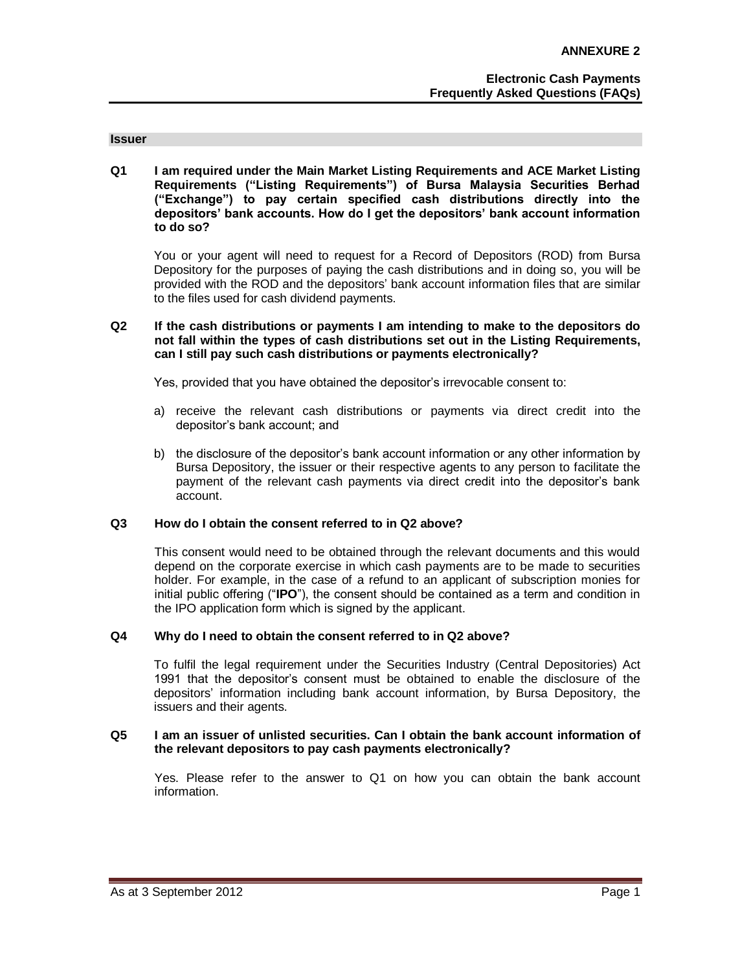#### **Issuer**

**Q1 I am required under the Main Market Listing Requirements and ACE Market Listing Requirements ("Listing Requirements") of Bursa Malaysia Securities Berhad ("Exchange") to pay certain specified cash distributions directly into the depositors' bank accounts. How do I get the depositors' bank account information to do so?**

You or your agent will need to request for a Record of Depositors (ROD) from Bursa Depository for the purposes of paying the cash distributions and in doing so, you will be provided with the ROD and the depositors' bank account information files that are similar to the files used for cash dividend payments.

## **Q2 If the cash distributions or payments I am intending to make to the depositors do not fall within the types of cash distributions set out in the Listing Requirements, can I still pay such cash distributions or payments electronically?**

Yes, provided that you have obtained the depositor's irrevocable consent to:

- a) receive the relevant cash distributions or payments via direct credit into the depositor's bank account; and
- b) the disclosure of the depositor's bank account information or any other information by Bursa Depository, the issuer or their respective agents to any person to facilitate the payment of the relevant cash payments via direct credit into the depositor's bank account.

## **Q3 How do I obtain the consent referred to in Q2 above?**

This consent would need to be obtained through the relevant documents and this would depend on the corporate exercise in which cash payments are to be made to securities holder. For example, in the case of a refund to an applicant of subscription monies for initial public offering ("**IPO**"), the consent should be contained as a term and condition in the IPO application form which is signed by the applicant.

## **Q4 Why do I need to obtain the consent referred to in Q2 above?**

To fulfil the legal requirement under the Securities Industry (Central Depositories) Act 1991 that the depositor's consent must be obtained to enable the disclosure of the depositors' information including bank account information, by Bursa Depository, the issuers and their agents.

#### **Q5 I am an issuer of unlisted securities. Can I obtain the bank account information of the relevant depositors to pay cash payments electronically?**

Yes. Please refer to the answer to Q1 on how you can obtain the bank account information.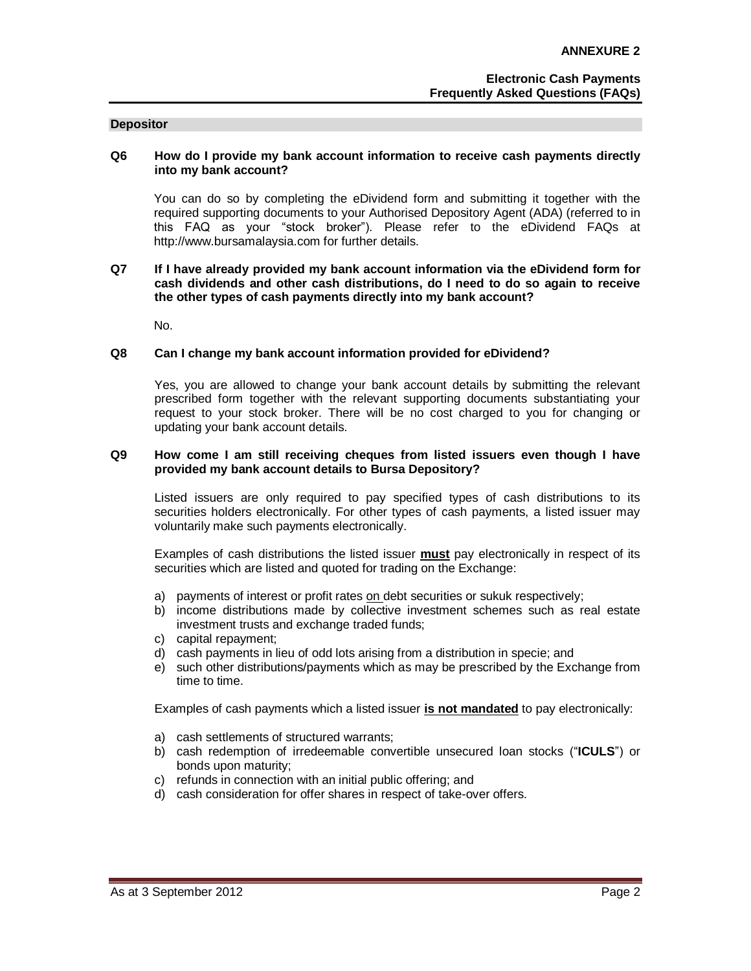#### **Depositor**

## **Q6 How do I provide my bank account information to receive cash payments directly into my bank account?**

You can do so by completing the eDividend form and submitting it together with the required supporting documents to your Authorised Depository Agent (ADA) (referred to in this FAQ as your "stock broker"). Please refer to the eDividend FAQs at http://www.bursamalaysia.com for further details.

## **Q7 If I have already provided my bank account information via the eDividend form for cash dividends and other cash distributions, do I need to do so again to receive the other types of cash payments directly into my bank account?**

No.

#### **Q8 Can I change my bank account information provided for eDividend?**

Yes, you are allowed to change your bank account details by submitting the relevant prescribed form together with the relevant supporting documents substantiating your request to your stock broker. There will be no cost charged to you for changing or updating your bank account details.

#### **Q9 How come I am still receiving cheques from listed issuers even though I have provided my bank account details to Bursa Depository?**

Listed issuers are only required to pay specified types of cash distributions to its securities holders electronically. For other types of cash payments, a listed issuer may voluntarily make such payments electronically.

Examples of cash distributions the listed issuer **must** pay electronically in respect of its securities which are listed and quoted for trading on the Exchange:

- a) payments of interest or profit rates on debt securities or sukuk respectively;
- b) income distributions made by collective investment schemes such as real estate investment trusts and exchange traded funds;
- c) capital repayment;
- d) cash payments in lieu of odd lots arising from a distribution in specie; and
- e) such other distributions/payments which as may be prescribed by the Exchange from time to time.

Examples of cash payments which a listed issuer **is not mandated** to pay electronically:

- a) cash settlements of structured warrants;
- b) cash redemption of irredeemable convertible unsecured loan stocks ("**ICULS**") or bonds upon maturity;
- c) refunds in connection with an initial public offering; and
- d) cash consideration for offer shares in respect of take-over offers.